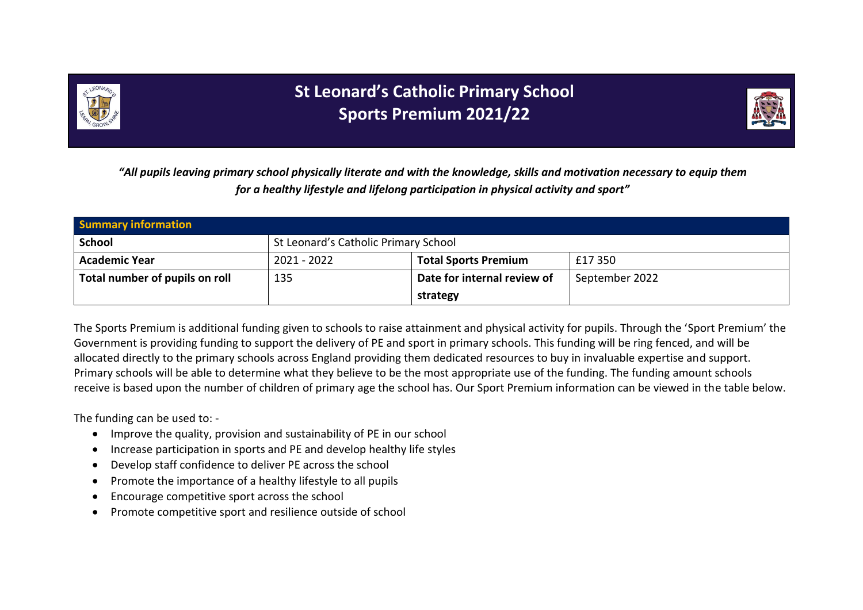

## **St Leonard's Catholic Primary School Sports Premium 2021/22**



*"All pupils leaving primary school physically literate and with the knowledge, skills and motivation necessary to equip them for a healthy lifestyle and lifelong participation in physical activity and sport"*

| <b>Summary information</b>     |                                      |                             |                |  |
|--------------------------------|--------------------------------------|-----------------------------|----------------|--|
| <b>School</b>                  | St Leonard's Catholic Primary School |                             |                |  |
| <b>Academic Year</b>           | 2021 - 2022                          | <b>Total Sports Premium</b> | £17 350        |  |
| Total number of pupils on roll | 135                                  | Date for internal review of | September 2022 |  |
|                                |                                      | strategy                    |                |  |

The Sports Premium is additional funding given to schools to raise attainment and physical activity for pupils. Through the 'Sport Premium' the Government is providing funding to support the delivery of PE and sport in primary schools. This funding will be ring fenced, and will be allocated directly to the primary schools across England providing them dedicated resources to buy in invaluable expertise and support. Primary schools will be able to determine what they believe to be the most appropriate use of the funding. The funding amount schools receive is based upon the number of children of primary age the school has. Our Sport Premium information can be viewed in the table below.

The funding can be used to: -

- Improve the quality, provision and sustainability of PE in our school
- Increase participation in sports and PE and develop healthy life styles
- Develop staff confidence to deliver PE across the school
- Promote the importance of a healthy lifestyle to all pupils
- Encourage competitive sport across the school
- Promote competitive sport and resilience outside of school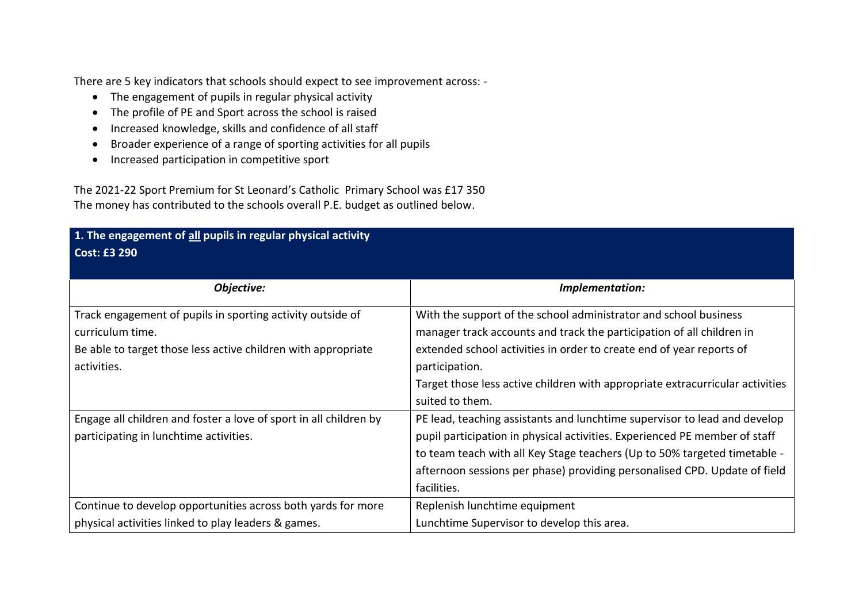There are 5 key indicators that schools should expect to see improvement across: -

- The engagement of pupils in regular physical activity
- The profile of PE and Sport across the school is raised
- Increased knowledge, skills and confidence of all staff
- Broader experience of a range of sporting activities for all pupils
- Increased participation in competitive sport

The 2021-22 Sport Premium for St Leonard's Catholic Primary School was £17 350 The money has contributed to the schools overall P.E. budget as outlined below.

## **1. The engagement of all pupils in regular physical activity Cost: £3 290**

| Objective:                                                        | Implementation:                                                               |
|-------------------------------------------------------------------|-------------------------------------------------------------------------------|
| Track engagement of pupils in sporting activity outside of        | With the support of the school administrator and school business              |
| curriculum time.                                                  | manager track accounts and track the participation of all children in         |
| Be able to target those less active children with appropriate     | extended school activities in order to create end of year reports of          |
| activities.                                                       | participation.                                                                |
|                                                                   | Target those less active children with appropriate extracurricular activities |
|                                                                   | suited to them.                                                               |
| Engage all children and foster a love of sport in all children by | PE lead, teaching assistants and lunchtime supervisor to lead and develop     |
| participating in lunchtime activities.                            | pupil participation in physical activities. Experienced PE member of staff    |
|                                                                   | to team teach with all Key Stage teachers (Up to 50% targeted timetable -     |
|                                                                   | afternoon sessions per phase) providing personalised CPD. Update of field     |
|                                                                   | facilities.                                                                   |
| Continue to develop opportunities across both yards for more      | Replenish lunchtime equipment                                                 |
| physical activities linked to play leaders & games.               | Lunchtime Supervisor to develop this area.                                    |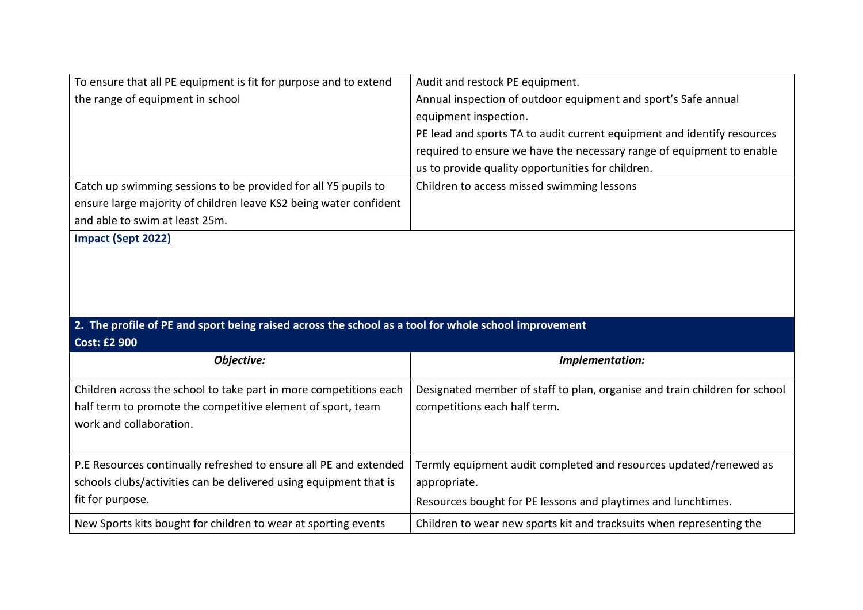| To ensure that all PE equipment is fit for purpose and to extend                                     | Audit and restock PE equipment.                                            |  |
|------------------------------------------------------------------------------------------------------|----------------------------------------------------------------------------|--|
| the range of equipment in school                                                                     | Annual inspection of outdoor equipment and sport's Safe annual             |  |
|                                                                                                      | equipment inspection.                                                      |  |
|                                                                                                      | PE lead and sports TA to audit current equipment and identify resources    |  |
|                                                                                                      | required to ensure we have the necessary range of equipment to enable      |  |
|                                                                                                      | us to provide quality opportunities for children.                          |  |
| Catch up swimming sessions to be provided for all Y5 pupils to                                       | Children to access missed swimming lessons                                 |  |
| ensure large majority of children leave KS2 being water confident                                    |                                                                            |  |
| and able to swim at least 25m.                                                                       |                                                                            |  |
| Impact (Sept 2022)                                                                                   |                                                                            |  |
|                                                                                                      |                                                                            |  |
|                                                                                                      |                                                                            |  |
|                                                                                                      |                                                                            |  |
|                                                                                                      |                                                                            |  |
|                                                                                                      |                                                                            |  |
|                                                                                                      |                                                                            |  |
| 2. The profile of PE and sport being raised across the school as a tool for whole school improvement |                                                                            |  |
| <b>Cost: £2 900</b>                                                                                  |                                                                            |  |
| Objective:                                                                                           | Implementation:                                                            |  |
|                                                                                                      |                                                                            |  |
| Children across the school to take part in more competitions each                                    | Designated member of staff to plan, organise and train children for school |  |
| half term to promote the competitive element of sport, team                                          | competitions each half term.                                               |  |
| work and collaboration.                                                                              |                                                                            |  |
|                                                                                                      |                                                                            |  |
| P.E Resources continually refreshed to ensure all PE and extended                                    | Termly equipment audit completed and resources updated/renewed as          |  |
| schools clubs/activities can be delivered using equipment that is                                    | appropriate.                                                               |  |
| fit for purpose.                                                                                     | Resources bought for PE lessons and playtimes and lunchtimes.              |  |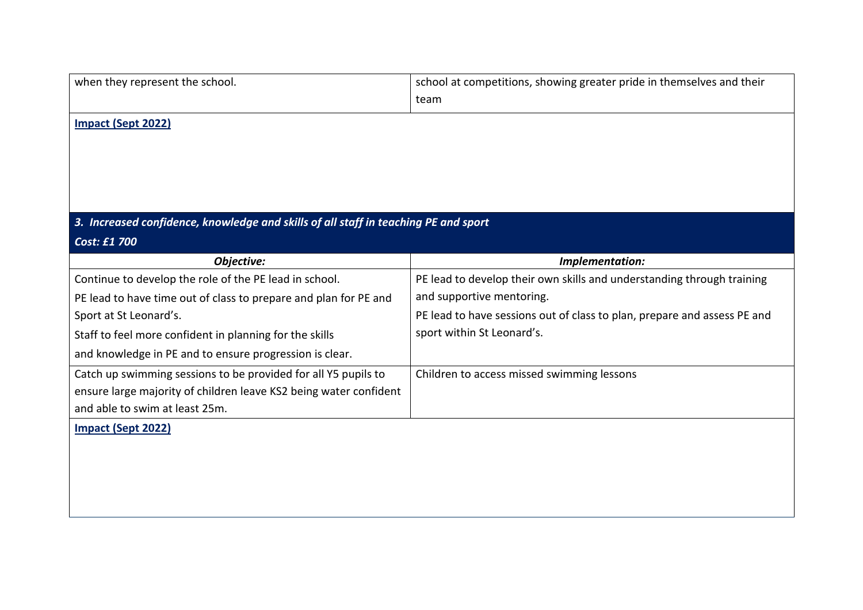| when they represent the school.                                                                     | school at competitions, showing greater pride in themselves and their    |  |
|-----------------------------------------------------------------------------------------------------|--------------------------------------------------------------------------|--|
|                                                                                                     | team                                                                     |  |
| Impact (Sept 2022)                                                                                  |                                                                          |  |
| 3. Increased confidence, knowledge and skills of all staff in teaching PE and sport<br>Cost: £1 700 |                                                                          |  |
| Objective:                                                                                          | Implementation:                                                          |  |
| Continue to develop the role of the PE lead in school.                                              | PE lead to develop their own skills and understanding through training   |  |
| PE lead to have time out of class to prepare and plan for PE and                                    | and supportive mentoring.                                                |  |
| Sport at St Leonard's.                                                                              | PE lead to have sessions out of class to plan, prepare and assess PE and |  |
| Staff to feel more confident in planning for the skills                                             | sport within St Leonard's.                                               |  |
| and knowledge in PE and to ensure progression is clear.                                             |                                                                          |  |
| Catch up swimming sessions to be provided for all Y5 pupils to                                      | Children to access missed swimming lessons                               |  |
| ensure large majority of children leave KS2 being water confident                                   |                                                                          |  |
| and able to swim at least 25m.                                                                      |                                                                          |  |
| <b>Impact (Sept 2022)</b>                                                                           |                                                                          |  |
|                                                                                                     |                                                                          |  |
|                                                                                                     |                                                                          |  |
|                                                                                                     |                                                                          |  |
|                                                                                                     |                                                                          |  |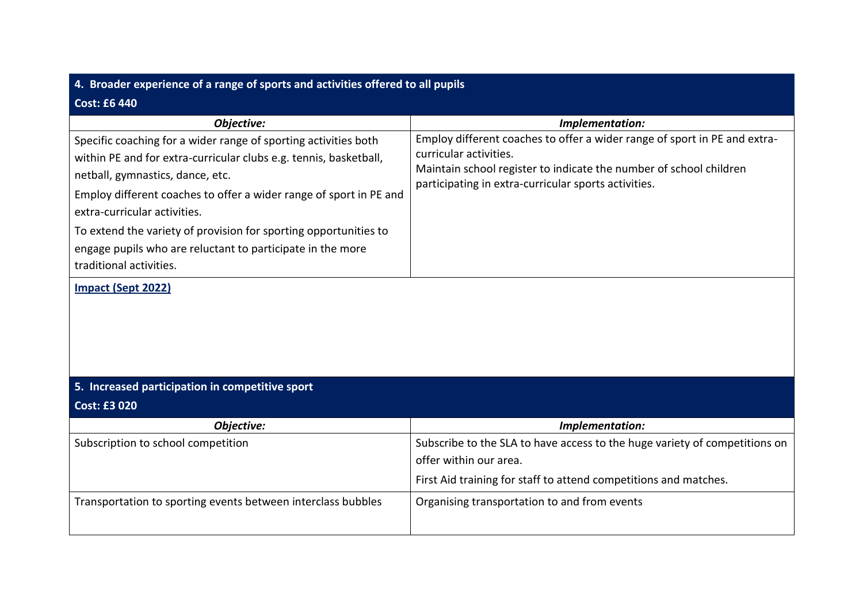| 4. Broader experience of a range of sports and activities offered to all pupils                                                                                                                                                                                                                                                                                                                                                                                          |                                                                                                                                                                                                                                   |  |
|--------------------------------------------------------------------------------------------------------------------------------------------------------------------------------------------------------------------------------------------------------------------------------------------------------------------------------------------------------------------------------------------------------------------------------------------------------------------------|-----------------------------------------------------------------------------------------------------------------------------------------------------------------------------------------------------------------------------------|--|
| <b>Cost: £6 440</b>                                                                                                                                                                                                                                                                                                                                                                                                                                                      |                                                                                                                                                                                                                                   |  |
| Objective:                                                                                                                                                                                                                                                                                                                                                                                                                                                               | Implementation:                                                                                                                                                                                                                   |  |
| Specific coaching for a wider range of sporting activities both<br>within PE and for extra-curricular clubs e.g. tennis, basketball,<br>netball, gymnastics, dance, etc.<br>Employ different coaches to offer a wider range of sport in PE and<br>extra-curricular activities.<br>To extend the variety of provision for sporting opportunities to<br>engage pupils who are reluctant to participate in the more<br>traditional activities.<br><b>Impact (Sept 2022)</b> | Employ different coaches to offer a wider range of sport in PE and extra-<br>curricular activities.<br>Maintain school register to indicate the number of school children<br>participating in extra-curricular sports activities. |  |
| 5. Increased participation in competitive sport                                                                                                                                                                                                                                                                                                                                                                                                                          |                                                                                                                                                                                                                                   |  |
| <b>Cost: £3 020</b>                                                                                                                                                                                                                                                                                                                                                                                                                                                      |                                                                                                                                                                                                                                   |  |
| Objective:                                                                                                                                                                                                                                                                                                                                                                                                                                                               | Implementation:                                                                                                                                                                                                                   |  |
| Subscription to school competition                                                                                                                                                                                                                                                                                                                                                                                                                                       | Subscribe to the SLA to have access to the huge variety of competitions on<br>offer within our area.<br>First Aid training for staff to attend competitions and matches.                                                          |  |
| Transportation to sporting events between interclass bubbles                                                                                                                                                                                                                                                                                                                                                                                                             | Organising transportation to and from events                                                                                                                                                                                      |  |